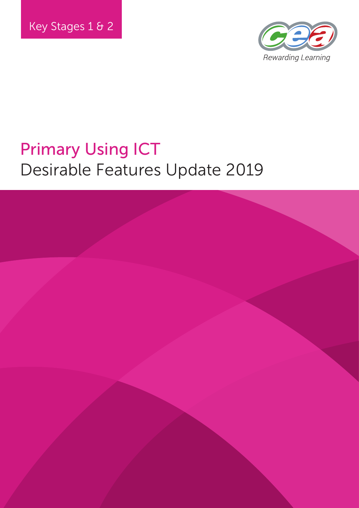

# Primary Using ICT Desirable Features Update 2019

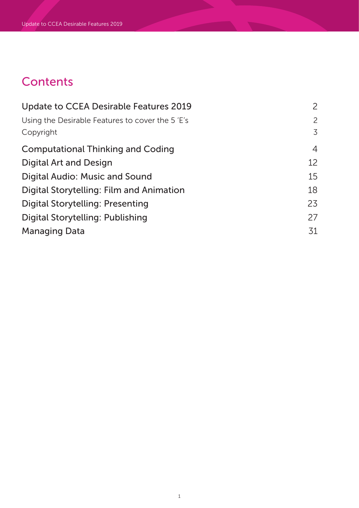# **Contents**

| Update to CCEA Desirable Features 2019          | $\overline{2}$ |
|-------------------------------------------------|----------------|
| Using the Desirable Features to cover the 5'E's | 2              |
| Copyright                                       | 3              |
| <b>Computational Thinking and Coding</b>        | $\overline{4}$ |
| <b>Digital Art and Design</b>                   | 12             |
| Digital Audio: Music and Sound                  | 15             |
| Digital Storytelling: Film and Animation        | 18             |
| Digital Storytelling: Presenting                | 23             |
| Digital Storytelling: Publishing                | 27             |
| Managing Data                                   | 31             |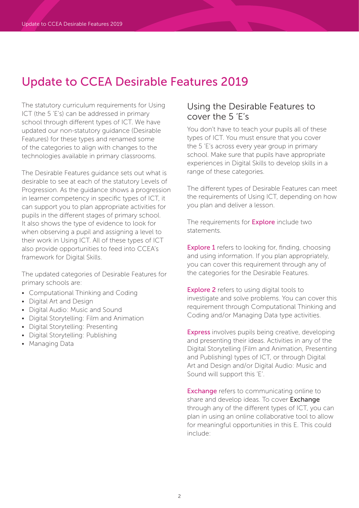## Update to CCEA Desirable Features 2019

The statutory curriculum requirements for Using ICT (the 5 'E's) can be addressed in primary school through different types of ICT. We have updated our non-statutory guidance (Desirable Features) for these types and renamed some of the categories to align with changes to the technologies available in primary classrooms.

The Desirable Features guidance sets out what is desirable to see at each of the statutory Levels of Progression. As the guidance shows a progression in learner competency in specific types of ICT, it can support you to plan appropriate activities for pupils in the different stages of primary school. It also shows the type of evidence to look for when observing a pupil and assigning a level to their work in Using ICT. All of these types of ICT also provide opportunities to feed into CCEA's framework for Digital Skills.

The updated categories of Desirable Features for primary schools are:

- Computational Thinking and Coding
- Digital Art and Design
- Digital Audio: Music and Sound
- Digital Storytelling: Film and Animation
- Digital Storytelling: Presenting
- Digital Storytelling: Publishing
- Managing Data

## Using the Desirable Features to cover the 5 'E's

You don't have to teach your pupils all of these types of ICT. You must ensure that you cover the 5 'E's across every year group in primary school. Make sure that pupils have appropriate experiences in Digital Skills to develop skills in a range of these categories.

The different types of Desirable Features can meet the requirements of Using ICT, depending on how you plan and deliver a lesson.

The requirements for **Explore** include two statements.

**Explore 1** refers to looking for, finding, choosing and using information. If you plan appropriately, you can cover this requirement through any of the categories for the Desirable Features.

**Explore 2** refers to using digital tools to investigate and solve problems. You can cover this requirement through Computational Thinking and Coding and/or Managing Data type activities.

Express involves pupils being creative, developing and presenting their ideas. Activities in any of the Digital Storytelling (Film and Animation, Presenting and Publishing) types of ICT, or through Digital Art and Design and/or Digital Audio: Music and Sound will support this 'E'.

**Exchange** refers to communicating online to share and develop ideas. To cover Exchange through any of the different types of ICT, you can plan in using an online collaborative tool to allow for meaningful opportunities in this E. This could include: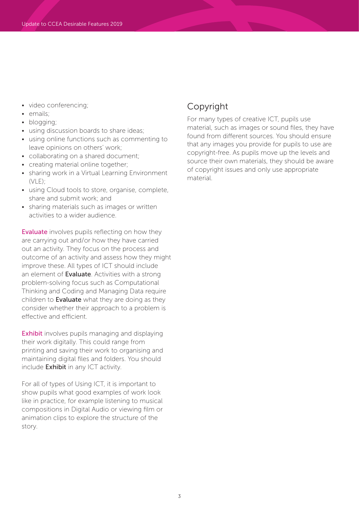- video conferencing;
- emails;
- blogging;
- using discussion boards to share ideas;
- using online functions such as commenting to leave opinions on others' work;
- collaborating on a shared document;
- creating material online together;
- sharing work in a Virtual Learning Environment  $(VLE)$ :
- using Cloud tools to store, organise, complete, share and submit work; and
- sharing materials such as images or written activities to a wider audience.

**Evaluate** involves pupils reflecting on how they are carrying out and/or how they have carried out an activity. They focus on the process and outcome of an activity and assess how they might improve these. All types of ICT should include an element of **Evaluate**. Activities with a strong problem-solving focus such as Computational Thinking and Coding and Managing Data require children to **Evaluate** what they are doing as they consider whether their approach to a problem is effective and efficient.

Exhibit involves pupils managing and displaying their work digitally. This could range from printing and saving their work to organising and maintaining digital files and folders. You should include Exhibit in any ICT activity.

For all of types of Using ICT, it is important to show pupils what good examples of work look like in practice, for example listening to musical compositions in Digital Audio or viewing film or animation clips to explore the structure of the story.

## Copyright

For many types of creative ICT, pupils use material, such as images or sound files, they have found from different sources. You should ensure that any images you provide for pupils to use are copyright-free. As pupils move up the levels and source their own materials, they should be aware of copyright issues and only use appropriate material.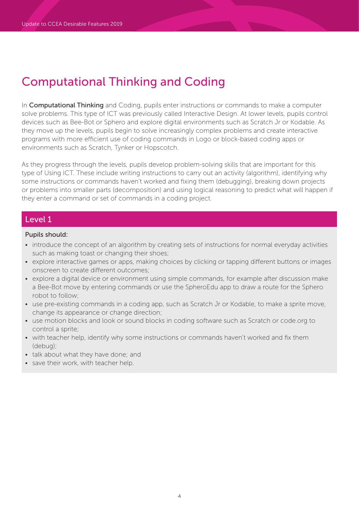In **Computational Thinking** and Coding, pupils enter instructions or commands to make a computer solve problems. This type of ICT was previously called Interactive Design. At lower levels, pupils control devices such as Bee-Bot or Sphero and explore digital environments such as Scratch Jr or Kodable. As they move up the levels, pupils begin to solve increasingly complex problems and create interactive programs with more efficient use of coding commands in Logo or block-based coding apps or environments such as Scratch, Tynker or Hopscotch.

As they progress through the levels, pupils develop problem-solving skills that are important for this type of Using ICT. These include writing instructions to carry out an activity (algorithm), identifying why some instructions or commands haven't worked and fixing them (debugging), breaking down projects or problems into smaller parts (decomposition) and using logical reasoning to predict what will happen if they enter a command or set of commands in a coding project.

## Level 1

- introduce the concept of an algorithm by creating sets of instructions for normal everyday activities such as making toast or changing their shoes;
- explore interactive games or apps, making choices by clicking or tapping different buttons or images onscreen to create different outcomes;
- explore a digital device or environment using simple commands, for example after discussion make a Bee-Bot move by entering commands or use the SpheroEdu app to draw a route for the Sphero robot to follow;
- use pre-existing commands in a coding app, such as Scratch Jr or Kodable, to make a sprite move, change its appearance or change direction;
- use motion blocks and look or sound blocks in coding software such as Scratch or code.org to control a sprite;
- with teacher help, identify why some instructions or commands haven't worked and fix them (debug);
- talk about what they have done; and
- save their work, with teacher help.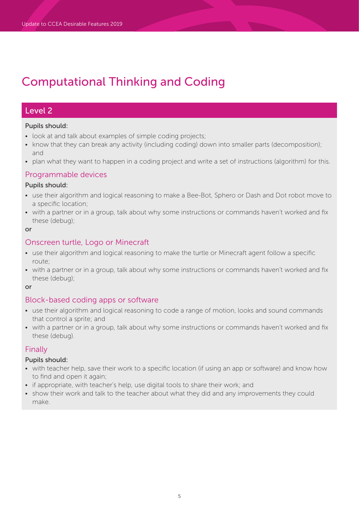## Level 2

### Pupils should:

- look at and talk about examples of simple coding projects;
- know that they can break any activity (including coding) down into smaller parts (decomposition); and
- plan what they want to happen in a coding project and write a set of instructions (algorithm) for this.

### Programmable devices

### Pupils should:

- use their algorithm and logical reasoning to make a Bee-Bot, Sphero or Dash and Dot robot move to a specific location;
- with a partner or in a group, talk about why some instructions or commands haven't worked and fix these (debug);

#### or

### Onscreen turtle, Logo or Minecraft

- use their algorithm and logical reasoning to make the turtle or Minecraft agent follow a specific route;
- with a partner or in a group, talk about why some instructions or commands haven't worked and fix these (debug);

or

## Block-based coding apps or software

- use their algorithm and logical reasoning to code a range of motion, looks and sound commands that control a sprite; and
- with a partner or in a group, talk about why some instructions or commands haven't worked and fix these (debug).

### Finally

- with teacher help, save their work to a specific location (if using an app or software) and know how to find and open it again;
- if appropriate, with teacher's help, use digital tools to share their work; and
- show their work and talk to the teacher about what they did and any improvements they could make.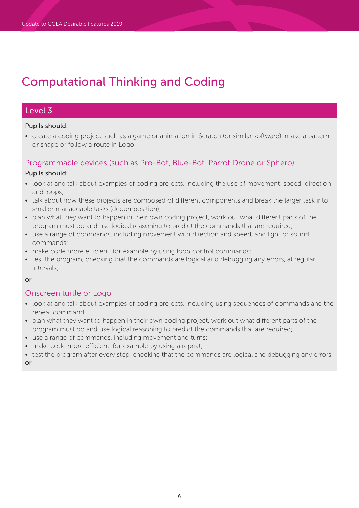## Level 3

### Pupils should:

• create a coding project such as a game or animation in Scratch (or similar software), make a pattern or shape or follow a route in Logo.

## Programmable devices (such as Pro-Bot, Blue-Bot, Parrot Drone or Sphero)

### Pupils should:

- look at and talk about examples of coding projects, including the use of movement, speed, direction and loops;
- talk about how these projects are composed of different components and break the larger task into smaller manageable tasks (decomposition);
- plan what they want to happen in their own coding project, work out what different parts of the program must do and use logical reasoning to predict the commands that are required;
- use a range of commands, including movement with direction and speed, and light or sound commands;
- make code more efficient, for example by using loop control commands;
- test the program, checking that the commands are logical and debugging any errors, at regular intervals;

### or

## Onscreen turtle or Logo

- look at and talk about examples of coding projects, including using sequences of commands and the repeat command;
- plan what they want to happen in their own coding project, work out what different parts of the program must do and use logical reasoning to predict the commands that are required;
- use a range of commands, including movement and turns;
- make code more efficient, for example by using a repeat;
- test the program after every step, checking that the commands are logical and debugging any errors;

or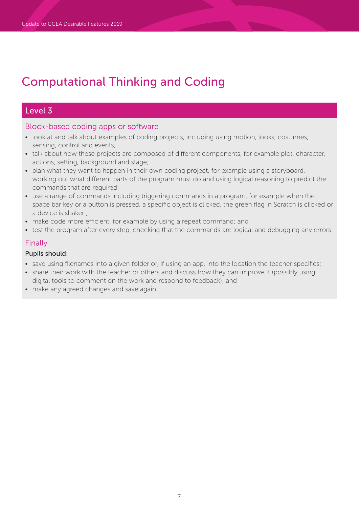## Level 3

## Block-based coding apps or software

- look at and talk about examples of coding projects, including using motion, looks, costumes, sensing, control and events;
- talk about how these projects are composed of different components, for example plot, character, actions, setting, background and stage;
- plan what they want to happen in their own coding project, for example using a storyboard, working out what different parts of the program must do and using logical reasoning to predict the commands that are required;
- use a range of commands including triggering commands in a program, for example when the space bar key or a button is pressed, a specific object is clicked, the green flag in Scratch is clicked or a device is shaken;
- make code more efficient, for example by using a repeat command; and
- test the program after every step, checking that the commands are logical and debugging any errors.

## Finally

- save using filenames into a given folder or, if using an app, into the location the teacher specifies;
- share their work with the teacher or others and discuss how they can improve it (possibly using digital tools to comment on the work and respond to feedback); and
- make any agreed changes and save again.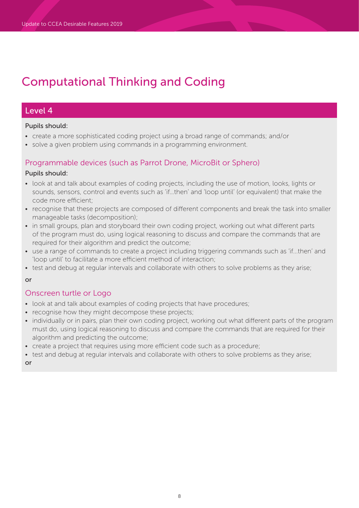## Level 4

### Pupils should:

- create a more sophisticated coding project using a broad range of commands; and/or
- solve a given problem using commands in a programming environment.

### Programmable devices (such as Parrot Drone, MicroBit or Sphero)

### Pupils should:

- look at and talk about examples of coding projects, including the use of motion, looks, lights or sounds, sensors, control and events such as 'if…then' and 'loop until' (or equivalent) that make the code more efficient;
- recognise that these projects are composed of different components and break the task into smaller manageable tasks (decomposition);
- in small groups, plan and storyboard their own coding project, working out what different parts of the program must do, using logical reasoning to discuss and compare the commands that are required for their algorithm and predict the outcome;
- use a range of commands to create a project including triggering commands such as 'if...then' and 'loop until' to facilitate a more efficient method of interaction;
- test and debug at regular intervals and collaborate with others to solve problems as they arise;

### or

## Onscreen turtle or Logo

- look at and talk about examples of coding projects that have procedures;
- recognise how they might decompose these projects;
- individually or in pairs, plan their own coding project, working out what different parts of the program must do, using logical reasoning to discuss and compare the commands that are required for their algorithm and predicting the outcome;
- create a project that requires using more efficient code such as a procedure;
- test and debug at regular intervals and collaborate with others to solve problems as they arise;

or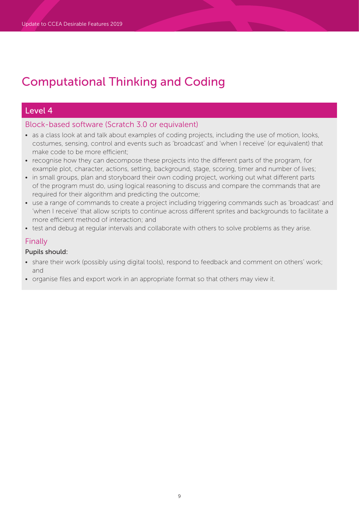## Level 4

## Block-based software (Scratch 3.0 or equivalent)

- as a class look at and talk about examples of coding projects, including the use of motion, looks, costumes, sensing, control and events such as 'broadcast' and 'when I receive' (or equivalent) that make code to be more efficient;
- recognise how they can decompose these projects into the different parts of the program, for example plot, character, actions, setting, background, stage, scoring, timer and number of lives;
- in small groups, plan and storyboard their own coding project, working out what different parts of the program must do, using logical reasoning to discuss and compare the commands that are required for their algorithm and predicting the outcome;
- use a range of commands to create a project including triggering commands such as 'broadcast' and 'when I receive' that allow scripts to continue across different sprites and backgrounds to facilitate a more efficient method of interaction; and
- test and debug at regular intervals and collaborate with others to solve problems as they arise.

## Finally

- share their work (possibly using digital tools), respond to feedback and comment on others' work; and
- organise files and export work in an appropriate format so that others may view it.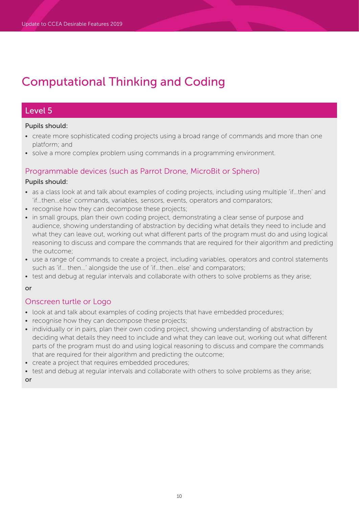## Level 5

### Pupils should:

- create more sophisticated coding projects using a broad range of commands and more than one platform; and
- solve a more complex problem using commands in a programming environment.

## Programmable devices (such as Parrot Drone, MicroBit or Sphero)

### Pupils should:

- as a class look at and talk about examples of coding projects, including using multiple 'if…then' and 'if…then…else' commands, variables, sensors, events, operators and comparators;
- recognise how they can decompose these projects;
- in small groups, plan their own coding project, demonstrating a clear sense of purpose and audience, showing understanding of abstraction by deciding what details they need to include and what they can leave out, working out what different parts of the program must do and using logical reasoning to discuss and compare the commands that are required for their algorithm and predicting the outcome;
- use a range of commands to create a project, including variables, operators and control statements such as 'if… then…' alongside the use of 'if…then…else' and comparators;
- test and debug at regular intervals and collaborate with others to solve problems as they arise;

### or

## Onscreen turtle or Logo

- look at and talk about examples of coding projects that have embedded procedures;
- recognise how they can decompose these projects;
- individually or in pairs, plan their own coding project, showing understanding of abstraction by deciding what details they need to include and what they can leave out, working out what different parts of the program must do and using logical reasoning to discuss and compare the commands that are required for their algorithm and predicting the outcome;
- create a project that requires embedded procedures;
- test and debug at regular intervals and collaborate with others to solve problems as they arise;

or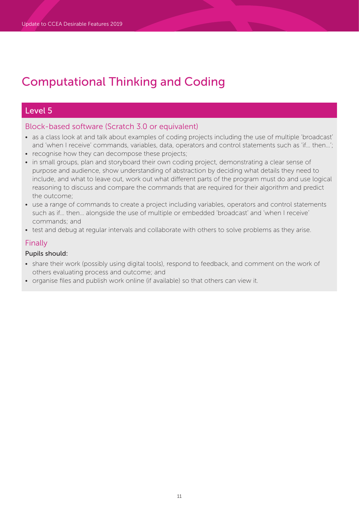## Level 5

## Block-based software (Scratch 3.0 or equivalent)

- as a class look at and talk about examples of coding projects including the use of multiple 'broadcast' and 'when I receive' commands, variables, data, operators and control statements such as 'if… then…';
- recognise how they can decompose these projects;
- in small groups, plan and storyboard their own coding project, demonstrating a clear sense of purpose and audience, show understanding of abstraction by deciding what details they need to include, and what to leave out, work out what different parts of the program must do and use logical reasoning to discuss and compare the commands that are required for their algorithm and predict the outcome;
- use a range of commands to create a project including variables, operators and control statements such as if… then… alongside the use of multiple or embedded 'broadcast' and 'when I receive' commands; and
- test and debug at regular intervals and collaborate with others to solve problems as they arise.

## Finally

- share their work (possibly using digital tools), respond to feedback, and comment on the work of others evaluating process and outcome; and
- organise files and publish work online (if available) so that others can view it.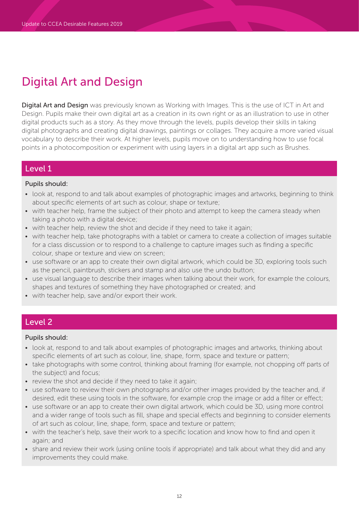# Digital Art and Design

Digital Art and Design was previously known as Working with Images. This is the use of ICT in Art and Design. Pupils make their own digital art as a creation in its own right or as an illustration to use in other digital products such as a story. As they move through the levels, pupils develop their skills in taking digital photographs and creating digital drawings, paintings or collages. They acquire a more varied visual vocabulary to describe their work. At higher levels, pupils move on to understanding how to use focal points in a photocomposition or experiment with using layers in a digital art app such as Brushes.

## Level 1

### Pupils should:

- look at, respond to and talk about examples of photographic images and artworks, beginning to think about specific elements of art such as colour, shape or texture;
- with teacher help, frame the subject of their photo and attempt to keep the camera steady when taking a photo with a digital device;
- with teacher help, review the shot and decide if they need to take it again;
- with teacher help, take photographs with a tablet or camera to create a collection of images suitable for a class discussion or to respond to a challenge to capture images such as finding a specific colour, shape or texture and view on screen;
- use software or an app to create their own digital artwork, which could be 3D, exploring tools such as the pencil, paintbrush, stickers and stamp and also use the undo button;
- use visual language to describe their images when talking about their work, for example the colours, shapes and textures of something they have photographed or created; and
- with teacher help, save and/or export their work.

## Level 2

- look at, respond to and talk about examples of photographic images and artworks, thinking about specific elements of art such as colour, line, shape, form, space and texture or pattern;
- take photographs with some control, thinking about framing (for example, not chopping off parts of the subject) and focus;
- review the shot and decide if they need to take it again;
- use software to review their own photographs and/or other images provided by the teacher and, if desired, edit these using tools in the software, for example crop the image or add a filter or effect;
- use software or an app to create their own digital artwork, which could be 3D, using more control and a wider range of tools such as fill, shape and special effects and beginning to consider elements of art such as colour, line, shape, form, space and texture or pattern;
- with the teacher's help, save their work to a specific location and know how to find and open it again; and
- share and review their work (using online tools if appropriate) and talk about what they did and any improvements they could make.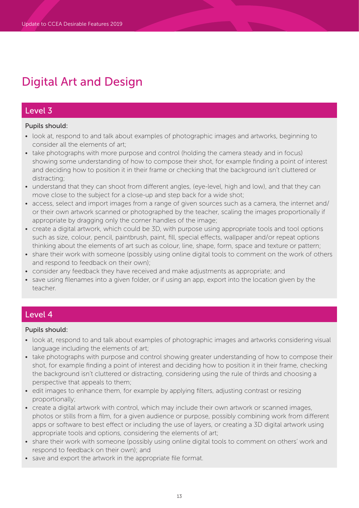# Digital Art and Design

## Level 3

### Pupils should:

- look at, respond to and talk about examples of photographic images and artworks, beginning to consider all the elements of art;
- take photographs with more purpose and control (holding the camera steady and in focus) showing some understanding of how to compose their shot, for example finding a point of interest and deciding how to position it in their frame or checking that the background isn't cluttered or distracting;
- understand that they can shoot from different angles, (eye-level, high and low), and that they can move close to the subject for a close-up and step back for a wide shot;
- access, select and import images from a range of given sources such as a camera, the internet and/ or their own artwork scanned or photographed by the teacher, scaling the images proportionally if appropriate by dragging only the corner handles of the image;
- create a digital artwork, which could be 3D, with purpose using appropriate tools and tool options such as size, colour, pencil, paintbrush, paint, fill, special effects, wallpaper and/or repeat options thinking about the elements of art such as colour, line, shape, form, space and texture or pattern;
- share their work with someone (possibly using online digital tools to comment on the work of others and respond to feedback on their own);
- consider any feedback they have received and make adjustments as appropriate; and
- save using filenames into a given folder, or if using an app, export into the location given by the teacher.

## Level 4

- look at, respond to and talk about examples of photographic images and artworks considering visual language including the elements of art;
- take photographs with purpose and control showing greater understanding of how to compose their shot, for example finding a point of interest and deciding how to position it in their frame, checking the background isn't cluttered or distracting, considering using the rule of thirds and choosing a perspective that appeals to them;
- edit images to enhance them, for example by applying filters, adjusting contrast or resizing proportionally;
- create a digital artwork with control, which may include their own artwork or scanned images, photos or stills from a film, for a given audience or purpose, possibly combining work from different apps or software to best effect or including the use of layers, or creating a 3D digital artwork using appropriate tools and options, considering the elements of art;
- share their work with someone (possibly using online digital tools to comment on others' work and respond to feedback on their own); and
- save and export the artwork in the appropriate file format.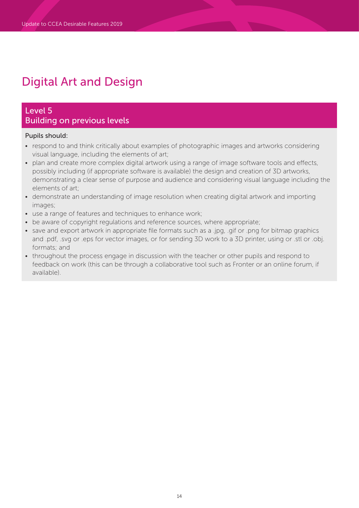# Digital Art and Design

## Level 5 Building on previous levels

- respond to and think critically about examples of photographic images and artworks considering visual language, including the elements of art;
- plan and create more complex digital artwork using a range of image software tools and effects, possibly including (if appropriate software is available) the design and creation of 3D artworks, demonstrating a clear sense of purpose and audience and considering visual language including the elements of art;
- demonstrate an understanding of image resolution when creating digital artwork and importing images;
- use a range of features and techniques to enhance work;
- be aware of copyright regulations and reference sources, where appropriate;
- save and export artwork in appropriate file formats such as a .jpg, .gif or .png for bitmap graphics and .pdf, .svg or .eps for vector images, or for sending 3D work to a 3D printer, using or .stl or .obj. formats; and
- throughout the process engage in discussion with the teacher or other pupils and respond to feedback on work (this can be through a collaborative tool such as Fronter or an online forum, if available).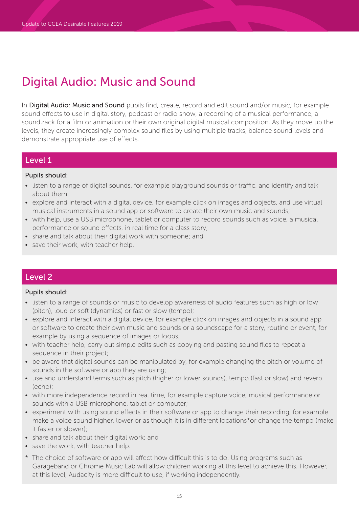## Digital Audio: Music and Sound

In Digital Audio: Music and Sound pupils find, create, record and edit sound and/or music, for example sound effects to use in digital story, podcast or radio show, a recording of a musical performance, a soundtrack for a film or animation or their own original digital musical composition. As they move up the levels, they create increasingly complex sound files by using multiple tracks, balance sound levels and demonstrate appropriate use of effects.

## Level 1

### Pupils should:

- listen to a range of digital sounds, for example playground sounds or traffic, and identify and talk about them;
- explore and interact with a digital device, for example click on images and objects, and use virtual musical instruments in a sound app or software to create their own music and sounds;
- with help, use a USB microphone, tablet or computer to record sounds such as voice, a musical performance or sound effects, in real time for a class story;
- share and talk about their digital work with someone; and
- save their work, with teacher help.

## Level 2

- listen to a range of sounds or music to develop awareness of audio features such as high or low (pitch), loud or soft (dynamics) or fast or slow (tempo);
- explore and interact with a digital device, for example click on images and objects in a sound app or software to create their own music and sounds or a soundscape for a story, routine or event, for example by using a sequence of images or loops;
- with teacher help, carry out simple edits such as copying and pasting sound files to repeat a sequence in their project;
- be aware that digital sounds can be manipulated by, for example changing the pitch or volume of sounds in the software or app they are using;
- use and understand terms such as pitch (higher or lower sounds), tempo (fast or slow) and reverb (echo);
- with more independence record in real time, for example capture voice, musical performance or sounds with a USB microphone, tablet or computer;
- experiment with using sound effects in their software or app to change their recording, for example make a voice sound higher, lower or as though it is in different locations\*or change the tempo (make it faster or slower);
- share and talk about their digital work; and
- save the work, with teacher help.
- \* The choice of software or app will affect how difficult this is to do. Using programs such as Garageband or Chrome Music Lab will allow children working at this level to achieve this. However, at this level, Audacity is more difficult to use, if working independently.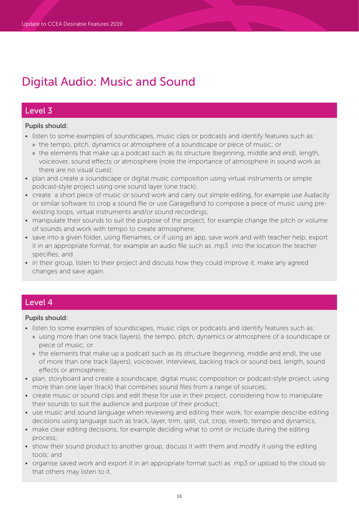# Digital Audio: Music and Sound

## Level 3

### Pupils should:

- listen to some examples of soundscapes, music clips or podcasts and identify features such as: » the tempo, pitch, dynamics or atmosphere of a soundscape or piece of music; or
	- » the elements that make up a podcast such as its structure (beginning, middle and end), length, voiceover, sound effects or atmosphere (note the importance of atmosphere in sound work as there are no visual cues);
- plan and create a soundscape or digital music composition using virtual instruments or simple podcast-style project using one sound layer (one track);
- create a short piece of music or sound work and carry out simple editing, for example use Audacity or similar software to crop a sound file or use GarageBand to compose a piece of music using preexisting loops, virtual instruments and/or sound recordings;
- manipulate their sounds to suit the purpose of the project, for example change the pitch or volume of sounds and work with tempo to create atmosphere;
- save into a given folder, using filenames, or if using an app, save work and with teacher help, export it in an appropriate format, for example an audio file such as .mp3 into the location the teacher specifies; and
- in their group, listen to their project and discuss how they could improve it, make any agreed changes and save again.

## Level 4

- listen to some examples of soundscapes, music clips or podcasts and identify features such as:
	- » using more than one track (layers), the tempo, pitch, dynamics or atmosphere of a soundscape or piece of music; or
	- » the elements that make up a podcast such as its structure (beginning, middle and end), the use of more than one track (layers), voiceover, interviews, backing track or sound bed, length, sound effects or atmosphere;
- plan, storyboard and create a soundscape, digital music composition or podcast-style project, using more than one layer (track) that combines sound files from a range of sources;
- create music or sound clips and edit these for use in their project, considering how to manipulate their sounds to suit the audience and purpose of their product;
- use music and sound language when reviewing and editing their work, for example describe editing decisions using language such as track, layer, trim, split, cut, crop, reverb, tempo and dynamics;
- make clear editing decisions, for example deciding what to omit or include during the editing process;
- show their sound product to another group, discuss it with them and modify it using the editing tools; and
- organise saved work and export it in an appropriate format such as .mp3 or upload to the cloud so that others may listen to it.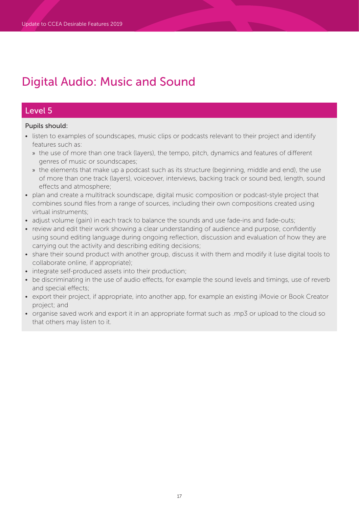# Digital Audio: Music and Sound

## Level 5

- listen to examples of soundscapes, music clips or podcasts relevant to their project and identify features such as:
	- » the use of more than one track (layers), the tempo, pitch, dynamics and features of different genres of music or soundscapes;
	- » the elements that make up a podcast such as its structure (beginning, middle and end), the use of more than one track (layers), voiceover, interviews, backing track or sound bed, length, sound effects and atmosphere;
- plan and create a multitrack soundscape, digital music composition or podcast-style project that combines sound files from a range of sources, including their own compositions created using virtual instruments;
- adjust volume (gain) in each track to balance the sounds and use fade-ins and fade-outs;
- review and edit their work showing a clear understanding of audience and purpose, confidently using sound editing language during ongoing reflection, discussion and evaluation of how they are carrying out the activity and describing editing decisions;
- share their sound product with another group, discuss it with them and modify it (use digital tools to collaborate online, if appropriate);
- integrate self-produced assets into their production;
- be discriminating in the use of audio effects, for example the sound levels and timings, use of reverb and special effects;
- export their project, if appropriate, into another app, for example an existing iMovie or Book Creator project; and
- organise saved work and export it in an appropriate format such as .mp3 or upload to the cloud so that others may listen to it.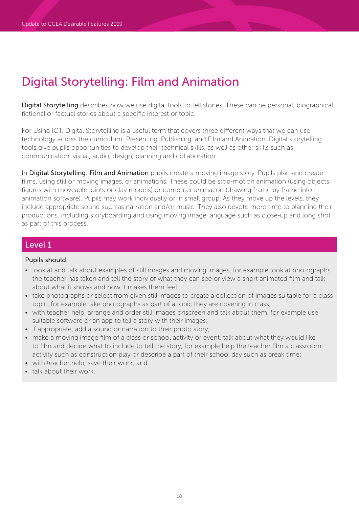Digital Storytelling describes how we use digital tools to tell stories. These can be personal, biographical, fictional or factual stories about a specific interest or topic.

For Using ICT, Digital Storytelling is a useful term that covers three different ways that we can use technology across the curriculum: Presenting, Publishing, and Film and Animation. Digital storytelling tools give pupils opportunities to develop their technical skills, as well as other skills such as communication, visual, audio, design, planning and collaboration.

In Digital Storytelling: Film and Animation pupils create a moving image story. Pupils plan and create films, using still or moving images, or animations. These could be stop-motion animation (using objects, figures with moveable joints or clay models) or computer animation (drawing frame by frame into animation software). Pupils may work individually or in small group. As they move up the levels, they include appropriate sound such as narration and/or music. They also devote more time to planning their productions, including storyboarding and using moving image language such as close-up and long shot as part of this process.

## Level 1

- look at and talk about examples of still images and moving images, for example look at photographs the teacher has taken and tell the story of what they can see or view a short animated film and talk about what it shows and how it makes them feel;
- take photographs or select from given still images to create a collection of images suitable for a class topic, for example take photographs as part of a topic they are covering in class;
- with teacher help, arrange and order still images onscreen and talk about them, for example use suitable software or an app to tell a story with their images;
- if appropriate, add a sound or narration to their photo story;
- make a moving image film of a class or school activity or event, talk about what they would like to film and decide what to include to tell the story, for example help the teacher film a classroom activity such as construction play or describe a part of their school day such as break time;
- with teacher help, save their work; and
- talk about their work.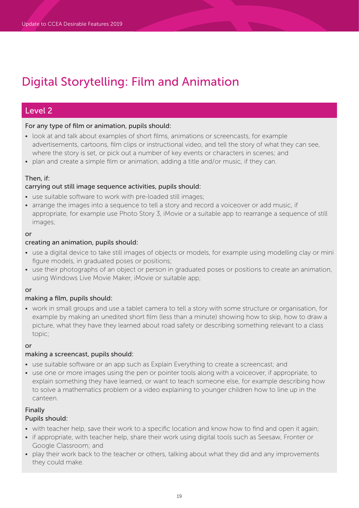## Level 2

### For any type of film or animation, pupils should:

- look at and talk about examples of short films, animations or screencasts, for example advertisements, cartoons, film clips or instructional video, and tell the story of what they can see, where the story is set, or pick out a number of key events or characters in scenes; and
- plan and create a simple film or animation, adding a title and/or music, if they can.

### Then, if:

### carrying out still image sequence activities, pupils should:

- use suitable software to work with pre-loaded still images;
- arrange the images into a sequence to tell a story and record a voiceover or add music, if appropriate, for example use Photo Story 3, iMovie or a suitable app to rearrange a sequence of still images;

#### or

### creating an animation, pupils should:

- use a digital device to take still images of objects or models, for example using modelling clay or mini figure models, in graduated poses or positions;
- use their photographs of an object or person in graduated poses or positions to create an animation, using Windows Live Movie Maker, iMovie or suitable app;

### or

### making a film, pupils should:

• work in small groups and use a tablet camera to tell a story with some structure or organisation, for example by making an unedited short film (less than a minute) showing how to skip, how to draw a picture, what they have they learned about road safety or describing something relevant to a class topic;

#### or

### making a screencast, pupils should:

- use suitable software or an app such as Explain Everything to create a screencast; and
- use one or more images using the pen or pointer tools along with a voiceover, if appropriate, to explain something they have learned, or want to teach someone else, for example describing how to solve a mathematics problem or a video explaining to younger children how to line up in the canteen.

### Finally

- with teacher help, save their work to a specific location and know how to find and open it again;
- if appropriate, with teacher help, share their work using digital tools such as Seesaw, Fronter or Google Classroom; and
- play their work back to the teacher or others, talking about what they did and any improvements they could make.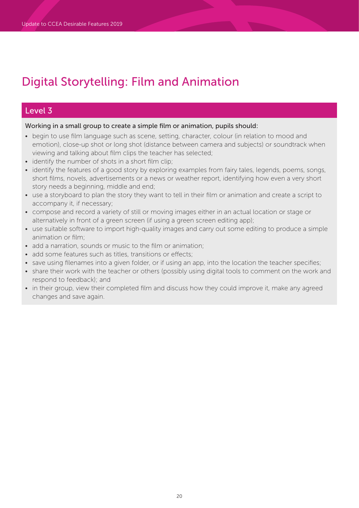## Level 3

Working in a small group to create a simple film or animation, pupils should:

- begin to use film language such as scene, setting, character, colour (in relation to mood and emotion), close-up shot or long shot (distance between camera and subjects) or soundtrack when viewing and talking about film clips the teacher has selected;
- identify the number of shots in a short film clip;
- identify the features of a good story by exploring examples from fairy tales, legends, poems, songs, short films, novels, advertisements or a news or weather report, identifying how even a very short story needs a beginning, middle and end;
- use a storyboard to plan the story they want to tell in their film or animation and create a script to accompany it, if necessary;
- compose and record a variety of still or moving images either in an actual location or stage or alternatively in front of a green screen (if using a green screen editing app);
- use suitable software to import high-quality images and carry out some editing to produce a simple animation or film;
- add a narration, sounds or music to the film or animation;
- add some features such as titles, transitions or effects;
- save using filenames into a given folder, or if using an app, into the location the teacher specifies;
- share their work with the teacher or others (possibly using digital tools to comment on the work and respond to feedback); and
- in their group, view their completed film and discuss how they could improve it, make any agreed changes and save again.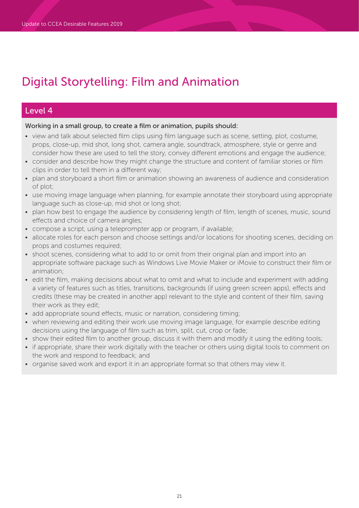## Level 4

Working in a small group, to create a film or animation, pupils should:

- view and talk about selected film clips using film language such as scene, setting, plot, costume, props, close-up, mid shot, long shot, camera angle, soundtrack, atmosphere, style or genre and consider how these are used to tell the story, convey different emotions and engage the audience;
- consider and describe how they might change the structure and content of familiar stories or film clips in order to tell them in a different way;
- plan and storyboard a short film or animation showing an awareness of audience and consideration of plot;
- use moving image language when planning, for example annotate their storyboard using appropriate language such as close-up, mid shot or long shot;
- plan how best to engage the audience by considering length of film, length of scenes, music, sound effects and choice of camera angles;
- compose a script, using a teleprompter app or program, if available;
- allocate roles for each person and choose settings and/or locations for shooting scenes, deciding on props and costumes required;
- shoot scenes, considering what to add to or omit from their original plan and import into an appropriate software package such as Windows Live Movie Maker or iMovie to construct their film or animation;
- edit the film, making decisions about what to omit and what to include and experiment with adding a variety of features such as titles, transitions, backgrounds (if using green screen apps), effects and credits (these may be created in another app) relevant to the style and content of their film, saving their work as they edit;
- add appropriate sound effects, music or narration, considering timing;
- when reviewing and editing their work use moving image language, for example describe editing decisions using the language of film such as trim, split, cut, crop or fade;
- show their edited film to another group, discuss it with them and modify it using the editing tools;
- if appropriate, share their work digitally with the teacher or others using digital tools to comment on the work and respond to feedback; and
- organise saved work and export it in an appropriate format so that others may view it.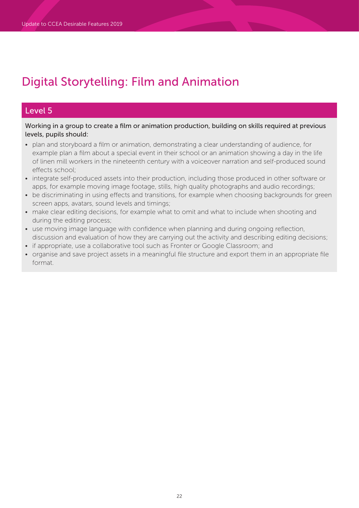## Level 5

Working in a group to create a film or animation production, building on skills required at previous levels, pupils should:

- plan and storyboard a film or animation, demonstrating a clear understanding of audience, for example plan a film about a special event in their school or an animation showing a day in the life of linen mill workers in the nineteenth century with a voiceover narration and self-produced sound effects school;
- integrate self-produced assets into their production, including those produced in other software or apps, for example moving image footage, stills, high quality photographs and audio recordings;
- be discriminating in using effects and transitions, for example when choosing backgrounds for green screen apps, avatars, sound levels and timings;
- make clear editing decisions, for example what to omit and what to include when shooting and during the editing process;
- use moving image language with confidence when planning and during ongoing reflection, discussion and evaluation of how they are carrying out the activity and describing editing decisions;
- if appropriate, use a collaborative tool such as Fronter or Google Classroom; and
- organise and save project assets in a meaningful file structure and export them in an appropriate file format.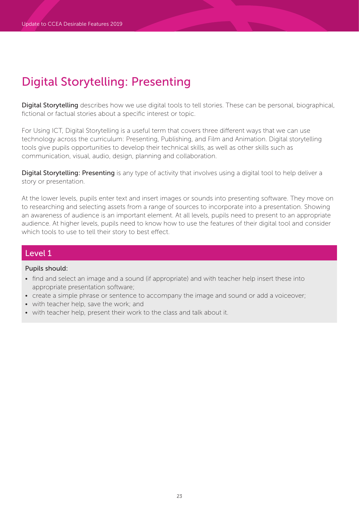Digital Storytelling describes how we use digital tools to tell stories. These can be personal, biographical, fictional or factual stories about a specific interest or topic.

For Using ICT, Digital Storytelling is a useful term that covers three different ways that we can use technology across the curriculum: Presenting, Publishing, and Film and Animation. Digital storytelling tools give pupils opportunities to develop their technical skills, as well as other skills such as communication, visual, audio, design, planning and collaboration.

Digital Storytelling: Presenting is any type of activity that involves using a digital tool to help deliver a story or presentation.

At the lower levels, pupils enter text and insert images or sounds into presenting software. They move on to researching and selecting assets from a range of sources to incorporate into a presentation. Showing an awareness of audience is an important element. At all levels, pupils need to present to an appropriate audience. At higher levels, pupils need to know how to use the features of their digital tool and consider which tools to use to tell their story to best effect.

## Level 1

- find and select an image and a sound (if appropriate) and with teacher help insert these into appropriate presentation software;
- create a simple phrase or sentence to accompany the image and sound or add a voiceover;
- with teacher help, save the work; and
- with teacher help, present their work to the class and talk about it.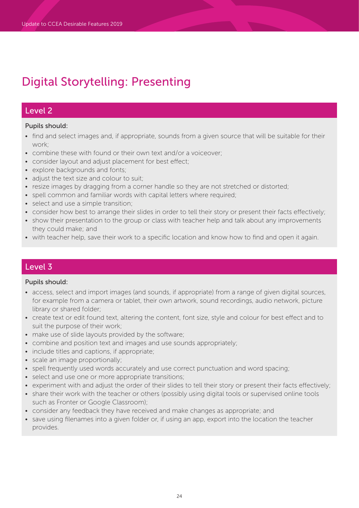## Level 2

### Pupils should:

- find and select images and, if appropriate, sounds from a given source that will be suitable for their work;
- combine these with found or their own text and/or a voiceover;
- consider layout and adjust placement for best effect;
- explore backgrounds and fonts;
- adjust the text size and colour to suit;
- resize images by dragging from a corner handle so they are not stretched or distorted;
- spell common and familiar words with capital letters where required;
- select and use a simple transition;
- consider how best to arrange their slides in order to tell their story or present their facts effectively;
- show their presentation to the group or class with teacher help and talk about any improvements they could make; and
- with teacher help, save their work to a specific location and know how to find and open it again.

## Level 3

- access, select and import images (and sounds, if appropriate) from a range of given digital sources, for example from a camera or tablet, their own artwork, sound recordings, audio network, picture library or shared folder;
- create text or edit found text, altering the content, font size, style and colour for best effect and to suit the purpose of their work;
- make use of slide layouts provided by the software;
- combine and position text and images and use sounds appropriately;
- include titles and captions, if appropriate;
- scale an image proportionally;
- spell frequently used words accurately and use correct punctuation and word spacing;
- select and use one or more appropriate transitions;
- experiment with and adjust the order of their slides to tell their story or present their facts effectively;
- share their work with the teacher or others (possibly using digital tools or supervised online tools such as Fronter or Google Classroom);
- consider any feedback they have received and make changes as appropriate; and
- save using filenames into a given folder or, if using an app, export into the location the teacher provides.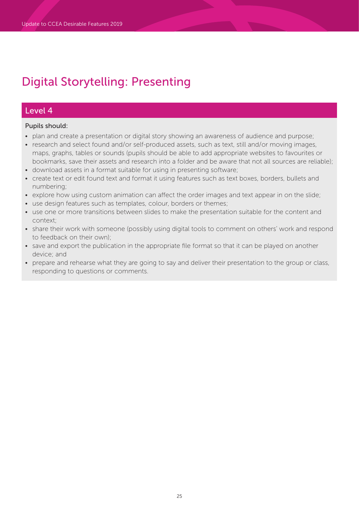## Level 4

- plan and create a presentation or digital story showing an awareness of audience and purpose;
- research and select found and/or self-produced assets, such as text, still and/or moving images, maps, graphs, tables or sounds (pupils should be able to add appropriate websites to favourites or bookmarks, save their assets and research into a folder and be aware that not all sources are reliable);
- download assets in a format suitable for using in presenting software;
- create text or edit found text and format it using features such as text boxes, borders, bullets and numbering;
- explore how using custom animation can affect the order images and text appear in on the slide;
- use design features such as templates, colour, borders or themes;
- use one or more transitions between slides to make the presentation suitable for the content and context;
- share their work with someone (possibly using digital tools to comment on others' work and respond to feedback on their own);
- save and export the publication in the appropriate file format so that it can be played on another device; and
- prepare and rehearse what they are going to say and deliver their presentation to the group or class, responding to questions or comments.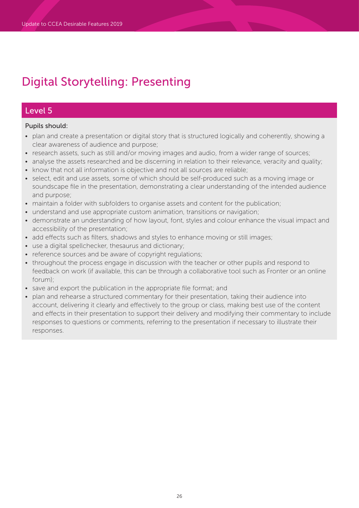## Level 5

- plan and create a presentation or digital story that is structured logically and coherently, showing a clear awareness of audience and purpose;
- research assets, such as still and/or moving images and audio, from a wider range of sources;
- analyse the assets researched and be discerning in relation to their relevance, veracity and quality;
- know that not all information is objective and not all sources are reliable;
- select, edit and use assets, some of which should be self-produced such as a moving image or soundscape file in the presentation, demonstrating a clear understanding of the intended audience and purpose;
- maintain a folder with subfolders to organise assets and content for the publication;
- understand and use appropriate custom animation, transitions or navigation;
- demonstrate an understanding of how layout, font, styles and colour enhance the visual impact and accessibility of the presentation;
- add effects such as filters, shadows and styles to enhance moving or still images;
- use a digital spellchecker, thesaurus and dictionary;
- reference sources and be aware of copyright regulations;
- throughout the process engage in discussion with the teacher or other pupils and respond to feedback on work (if available, this can be through a collaborative tool such as Fronter or an online forum);
- save and export the publication in the appropriate file format; and
- plan and rehearse a structured commentary for their presentation, taking their audience into account, delivering it clearly and effectively to the group or class, making best use of the content and effects in their presentation to support their delivery and modifying their commentary to include responses to questions or comments, referring to the presentation if necessary to illustrate their responses.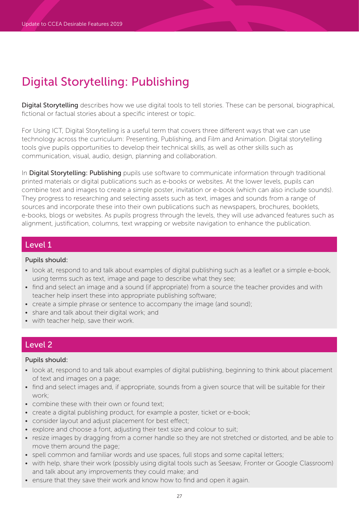Digital Storytelling describes how we use digital tools to tell stories. These can be personal, biographical, fictional or factual stories about a specific interest or topic.

For Using ICT, Digital Storytelling is a useful term that covers three different ways that we can use technology across the curriculum: Presenting, Publishing, and Film and Animation. Digital storytelling tools give pupils opportunities to develop their technical skills, as well as other skills such as communication, visual, audio, design, planning and collaboration.

In Digital Storytelling: Publishing pupils use software to communicate information through traditional printed materials or digital publications such as e-books or websites. At the lower levels, pupils can combine text and images to create a simple poster, invitation or e-book (which can also include sounds). They progress to researching and selecting assets such as text, images and sounds from a range of sources and incorporate these into their own publications such as newspapers, brochures, booklets, e-books, blogs or websites. As pupils progress through the levels, they will use advanced features such as alignment, justification, columns, text wrapping or website navigation to enhance the publication.

## Level 1

### Pupils should:

- look at, respond to and talk about examples of digital publishing such as a leaflet or a simple e-book, using terms such as text, image and page to describe what they see;
- find and select an image and a sound (if appropriate) from a source the teacher provides and with teacher help insert these into appropriate publishing software;
- create a simple phrase or sentence to accompany the image (and sound);
- share and talk about their digital work; and
- with teacher help, save their work.

## Level 2

- look at, respond to and talk about examples of digital publishing, beginning to think about placement of text and images on a page;
- find and select images and, if appropriate, sounds from a given source that will be suitable for their work;
- combine these with their own or found text;
- create a digital publishing product, for example a poster, ticket or e-book;
- consider layout and adjust placement for best effect;
- explore and choose a font, adjusting their text size and colour to suit;
- resize images by dragging from a corner handle so they are not stretched or distorted, and be able to move them around the page;
- spell common and familiar words and use spaces, full stops and some capital letters;
- with help, share their work (possibly using digital tools such as Seesaw, Fronter or Google Classroom) and talk about any improvements they could make; and
- ensure that they save their work and know how to find and open it again.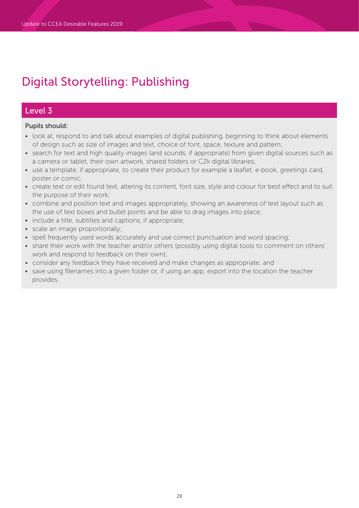## Level 3

- look at, respond to and talk about examples of digital publishing, beginning to think about elements of design such as size of images and text, choice of font, space, texture and pattern;
- search for text and high quality images (and sounds, if appropriate) from given digital sources such as a camera or tablet, their own artwork, shared folders or C2k digital libraries;
- use a template, if appropriate, to create their product for example a leaflet, e-book, greetings card, poster or comic;
- create text or edit found text, altering its content, font size, style and colour for best effect and to suit the purpose of their work;
- combine and position text and images appropriately, showing an awareness of text layout such as the use of text boxes and bullet points and be able to drag images into place;
- include a title, subtitles and captions, if appropriate;
- scale an image proportionally;
- spell frequently used words accurately and use correct punctuation and word spacing;
- share their work with the teacher and/or others (possibly using digital tools to comment on others' work and respond to feedback on their own);
- consider any feedback they have received and make changes as appropriate; and
- save using filenames into a given folder or, if using an app, export into the location the teacher provides.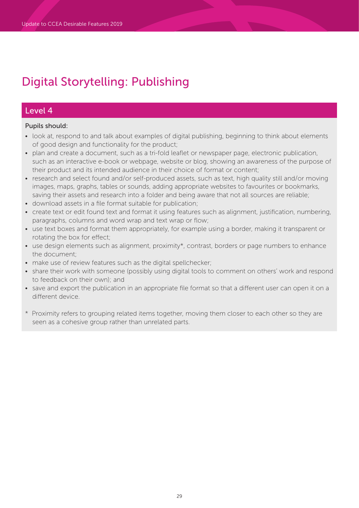## Level 4

- look at, respond to and talk about examples of digital publishing, beginning to think about elements of good design and functionality for the product;
- plan and create a document, such as a tri-fold leaflet or newspaper page, electronic publication, such as an interactive e-book or webpage, website or blog, showing an awareness of the purpose of their product and its intended audience in their choice of format or content;
- research and select found and/or self-produced assets, such as text, high quality still and/or moving images, maps, graphs, tables or sounds, adding appropriate websites to favourites or bookmarks, saving their assets and research into a folder and being aware that not all sources are reliable;
- download assets in a file format suitable for publication;
- create text or edit found text and format it using features such as alignment, justification, numbering, paragraphs, columns and word wrap and text wrap or flow;
- use text boxes and format them appropriately, for example using a border, making it transparent or rotating the box for effect;
- use design elements such as alignment, proximity\*, contrast, borders or page numbers to enhance the document;
- make use of review features such as the digital spellchecker;
- share their work with someone (possibly using digital tools to comment on others' work and respond to feedback on their own); and
- save and export the publication in an appropriate file format so that a different user can open it on a different device.
- \* Proximity refers to grouping related items together, moving them closer to each other so they are seen as a cohesive group rather than unrelated parts.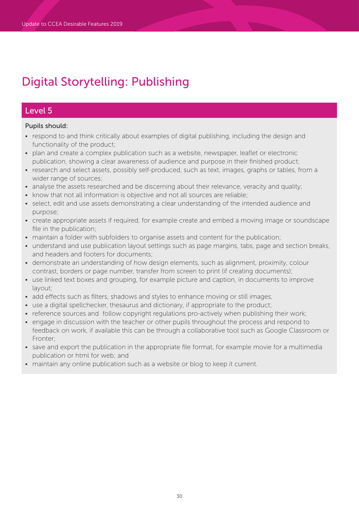## Level 5

- respond to and think critically about examples of digital publishing, including the design and functionality of the product;
- plan and create a complex publication such as a website, newspaper, leaflet or electronic publication, showing a clear awareness of audience and purpose in their finished product;
- research and select assets, possibly self-produced, such as text, images, graphs or tables, from a wider range of sources;
- analyse the assets researched and be discerning about their relevance, veracity and quality;
- know that not all information is objective and not all sources are reliable;
- select, edit and use assets demonstrating a clear understanding of the intended audience and purpose;
- create appropriate assets if required, for example create and embed a moving image or soundscape file in the publication;
- maintain a folder with subfolders to organise assets and content for the publication;
- understand and use publication layout settings such as page margins, tabs, page and section breaks, and headers and footers for documents;
- demonstrate an understanding of how design elements, such as alignment, proximity, colour contrast, borders or page number, transfer from screen to print (if creating documents);
- use linked text boxes and grouping, for example picture and caption, in documents to improve layout;
- add effects such as filters, shadows and styles to enhance moving or still images;
- use a digital spellchecker, thesaurus and dictionary, if appropriate to the product;
- reference sources and follow copyright regulations pro-actively when publishing their work;
- engage in discussion with the teacher or other pupils throughout the process and respond to feedback on work, if available this can be through a collaborative tool such as Google Classroom or Fronter;
- save and export the publication in the appropriate file format, for example movie for a multimedia publication or html for web; and
- maintain any online publication such as a website or blog to keep it current.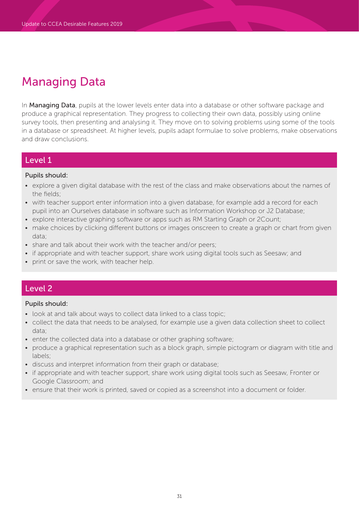# Managing Data

In Managing Data, pupils at the lower levels enter data into a database or other software package and produce a graphical representation. They progress to collecting their own data, possibly using online survey tools, then presenting and analysing it. They move on to solving problems using some of the tools in a database or spreadsheet. At higher levels, pupils adapt formulae to solve problems, make observations and draw conclusions.

## Level 1

#### Pupils should:

- explore a given digital database with the rest of the class and make observations about the names of the fields;
- with teacher support enter information into a given database, for example add a record for each pupil into an Ourselves database in software such as Information Workshop or J2 Database;
- explore interactive graphing software or apps such as RM Starting Graph or 2Count;
- make choices by clicking different buttons or images onscreen to create a graph or chart from given data;
- share and talk about their work with the teacher and/or peers;
- if appropriate and with teacher support, share work using digital tools such as Seesaw; and
- print or save the work, with teacher help.

## Level 2

- look at and talk about ways to collect data linked to a class topic;
- collect the data that needs to be analysed, for example use a given data collection sheet to collect data;
- enter the collected data into a database or other graphing software;
- produce a graphical representation such as a block graph, simple pictogram or diagram with title and labels;
- discuss and interpret information from their graph or database;
- if appropriate and with teacher support, share work using digital tools such as Seesaw, Fronter or Google Classroom; and
- ensure that their work is printed, saved or copied as a screenshot into a document or folder.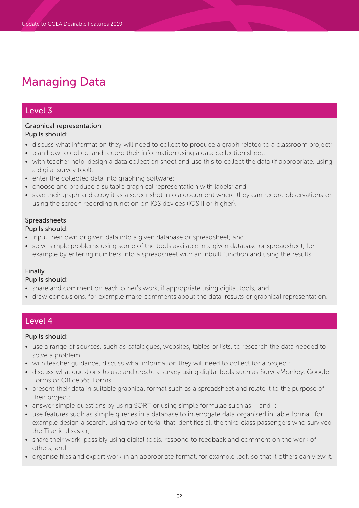# Managing Data

## Level 3

### Graphical representation Pupils should:

- discuss what information they will need to collect to produce a graph related to a classroom project;
- plan how to collect and record their information using a data collection sheet;
- with teacher help, design a data collection sheet and use this to collect the data (if appropriate, using a digital survey tool);
- enter the collected data into graphing software;
- choose and produce a suitable graphical representation with labels; and
- save their graph and copy it as a screenshot into a document where they can record observations or using the screen recording function on iOS devices (iOS II or higher).

## Spreadsheets

### Pupils should:

- input their own or given data into a given database or spreadsheet; and
- solve simple problems using some of the tools available in a given database or spreadsheet, for example by entering numbers into a spreadsheet with an inbuilt function and using the results.

### Finally

### Pupils should:

- share and comment on each other's work, if appropriate using digital tools; and
- draw conclusions, for example make comments about the data, results or graphical representation.

## Level 4

- use a range of sources, such as catalogues, websites, tables or lists, to research the data needed to solve a problem;
- with teacher guidance, discuss what information they will need to collect for a project;
- discuss what questions to use and create a survey using digital tools such as SurveyMonkey, Google Forms or Office365 Forms;
- present their data in suitable graphical format such as a spreadsheet and relate it to the purpose of their project;
- answer simple questions by using SORT or using simple formulae such as + and -;
- use features such as simple queries in a database to interrogate data organised in table format, for example design a search, using two criteria, that identifies all the third-class passengers who survived the Titanic disaster;
- share their work, possibly using digital tools, respond to feedback and comment on the work of others; and
- organise files and export work in an appropriate format, for example .pdf, so that it others can view it.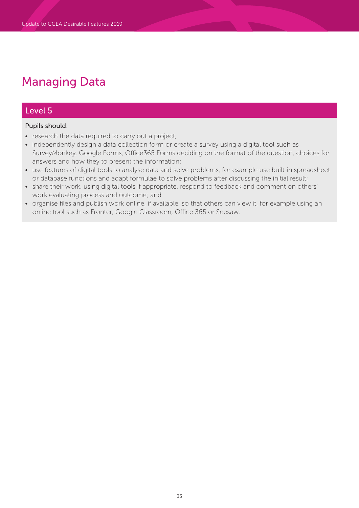# Managing Data

## Level 5

- research the data required to carry out a project;
- independently design a data collection form or create a survey using a digital tool such as SurveyMonkey, Google Forms, Office365 Forms deciding on the format of the question, choices for answers and how they to present the information;
- use features of digital tools to analyse data and solve problems, for example use built-in spreadsheet or database functions and adapt formulae to solve problems after discussing the initial result;
- share their work, using digital tools if appropriate, respond to feedback and comment on others' work evaluating process and outcome; and
- organise files and publish work online, if available, so that others can view it, for example using an online tool such as Fronter, Google Classroom, Office 365 or Seesaw.